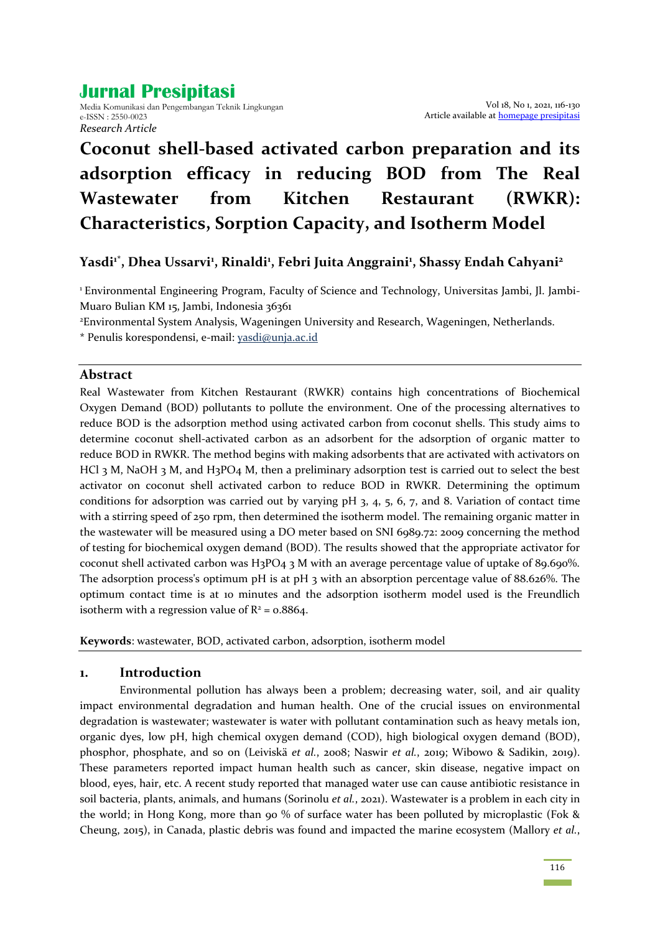# **Jurnal Presipitasi**

Media Komunikasi dan Pengembangan Teknik Lingkungan e-ISSN : 2550-0023 *Research Article*

# **Coconut shell-based activated carbon preparation and its adsorption efficacy in reducing BOD from The Real Wastewater from Kitchen Restaurant (RWKR): Characteristics, Sorption Capacity, and Isotherm Model**

# **Yasdi1\* , Dhea Ussarvi<sup>1</sup> , Rinaldi<sup>1</sup> , Febri Juita Anggraini<sup>1</sup> , Shassy Endah Cahyani<sup>2</sup>**

1 Environmental Engineering Program, Faculty of Science and Technology, Universitas Jambi, Jl. Jambi-Muaro Bulian KM 15, Jambi, Indonesia 36361

<sup>2</sup>Environmental System Analysis, Wageningen University and Research, Wageningen, Netherlands.

\* Penulis korespondensi, e-mail: [yasdi@unja.ac.id](mailto:yasdi@unja.ac.id)

#### **Abstract**

Real Wastewater from Kitchen Restaurant (RWKR) contains high concentrations of Biochemical Oxygen Demand (BOD) pollutants to pollute the environment. One of the processing alternatives to reduce BOD is the adsorption method using activated carbon from coconut shells. This study aims to determine coconut shell-activated carbon as an adsorbent for the adsorption of organic matter to reduce BOD in RWKR. The method begins with making adsorbents that are activated with activators on HCl 3 M, NaOH 3 M, and H3PO4 M, then a preliminary adsorption test is carried out to select the best activator on coconut shell activated carbon to reduce BOD in RWKR. Determining the optimum conditions for adsorption was carried out by varying  $pH_3$ , 4, 5, 6, 7, and 8. Variation of contact time with a stirring speed of 250 rpm, then determined the isotherm model. The remaining organic matter in the wastewater will be measured using a DO meter based on SNI 6989.72: 2009 concerning the method of testing for biochemical oxygen demand (BOD). The results showed that the appropriate activator for coconut shell activated carbon was H3PO4 3 M with an average percentage value of uptake of 89.690%. The adsorption process's optimum pH is at pH 3 with an absorption percentage value of 88.626%. The optimum contact time is at 10 minutes and the adsorption isotherm model used is the Freundlich isotherm with a regression value of  $R^2$  = 0.8864.

**Keywords**: wastewater, BOD, activated carbon, adsorption, isotherm model

# **1. Introduction**

Environmental pollution has always been a problem; decreasing water, soil, and air quality impact environmental degradation and human health. One of the crucial issues on environmental degradation is wastewater; wastewater is water with pollutant contamination such as heavy metals ion, organic dyes, low pH, high chemical oxygen demand (COD), high biological oxygen demand (BOD), phosphor, phosphate, and so on (Leiviskä *et al.*, 2008; Naswir *et al.*, 2019; Wibowo & Sadikin, 2019). These parameters reported impact human health such as cancer, skin disease, negative impact on blood, eyes, hair, etc. A recent study reported that managed water use can cause antibiotic resistance in soil bacteria, plants, animals, and humans (Sorinolu *et al.*, 2021). Wastewater is a problem in each city in the world; in Hong Kong, more than 90 % of surface water has been polluted by microplastic (Fok & Cheung, 2015), in Canada, plastic debris was found and impacted the marine ecosystem (Mallory *et al.*,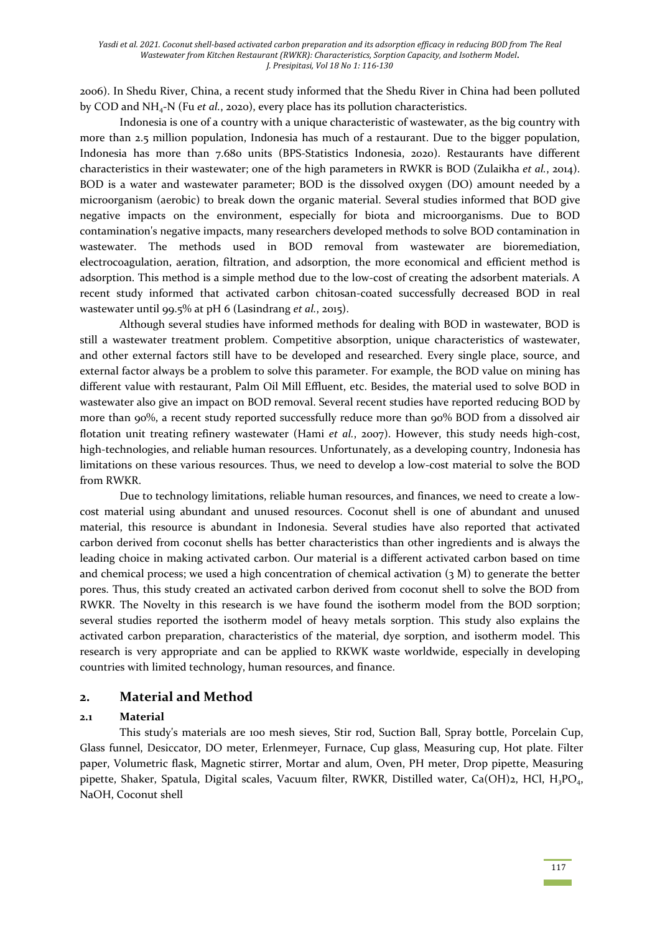2006). In Shedu River, China, a recent study informed that the Shedu River in China had been polluted by COD and NH4-N (Fu *et al.*, 2020), every place has its pollution characteristics.

Indonesia is one of a country with a unique characteristic of wastewater, as the big country with more than 2.5 million population, Indonesia has much of a restaurant. Due to the bigger population, Indonesia has more than 7.680 units (BPS-Statistics Indonesia, 2020). Restaurants have different characteristics in their wastewater; one of the high parameters in RWKR is BOD (Zulaikha *et al.*, 2014). BOD is a water and wastewater parameter; BOD is the dissolved oxygen (DO) amount needed by a microorganism (aerobic) to break down the organic material. Several studies informed that BOD give negative impacts on the environment, especially for biota and microorganisms. Due to BOD contamination's negative impacts, many researchers developed methods to solve BOD contamination in wastewater. The methods used in BOD removal from wastewater are bioremediation, electrocoagulation, aeration, filtration, and adsorption, the more economical and efficient method is adsorption. This method is a simple method due to the low-cost of creating the adsorbent materials. A recent study informed that activated carbon chitosan-coated successfully decreased BOD in real wastewater until 99.5% at pH 6 (Lasindrang *et al.*, 2015).

Although several studies have informed methods for dealing with BOD in wastewater, BOD is still a wastewater treatment problem. Competitive absorption, unique characteristics of wastewater, and other external factors still have to be developed and researched. Every single place, source, and external factor always be a problem to solve this parameter. For example, the BOD value on mining has different value with restaurant, Palm Oil Mill Effluent, etc. Besides, the material used to solve BOD in wastewater also give an impact on BOD removal. Several recent studies have reported reducing BOD by more than 90%, a recent study reported successfully reduce more than 90% BOD from a dissolved air flotation unit treating refinery wastewater (Hami *et al.*, 2007). However, this study needs high-cost, high-technologies, and reliable human resources. Unfortunately, as a developing country, Indonesia has limitations on these various resources. Thus, we need to develop a low-cost material to solve the BOD from RWKR.

Due to technology limitations, reliable human resources, and finances, we need to create a lowcost material using abundant and unused resources. Coconut shell is one of abundant and unused material, this resource is abundant in Indonesia. Several studies have also reported that activated carbon derived from coconut shells has better characteristics than other ingredients and is always the leading choice in making activated carbon. Our material is a different activated carbon based on time and chemical process; we used a high concentration of chemical activation  $(3 \text{ M})$  to generate the better pores. Thus, this study created an activated carbon derived from coconut shell to solve the BOD from RWKR. The Novelty in this research is we have found the isotherm model from the BOD sorption; several studies reported the isotherm model of heavy metals sorption. This study also explains the activated carbon preparation, characteristics of the material, dye sorption, and isotherm model. This research is very appropriate and can be applied to RKWK waste worldwide, especially in developing countries with limited technology, human resources, and finance.

#### **2. Material and Method**

#### **2.1 Material**

This study's materials are 100 mesh sieves, Stir rod, Suction Ball, Spray bottle, Porcelain Cup, Glass funnel, Desiccator, DO meter, Erlenmeyer, Furnace, Cup glass, Measuring cup, Hot plate. Filter paper, Volumetric flask, Magnetic stirrer, Mortar and alum, Oven, PH meter, Drop pipette, Measuring pipette, Shaker, Spatula, Digital scales, Vacuum filter, RWKR, Distilled water, Ca(OH)2, HCl, H<sub>3</sub>PO<sub>4</sub>, NaOH, Coconut shell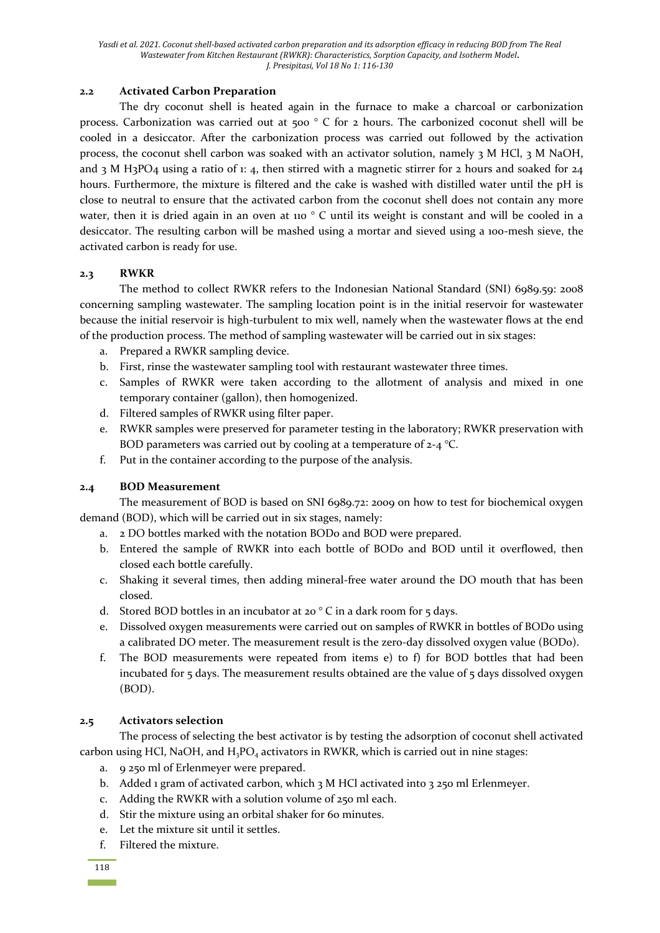#### **2.2 Activated Carbon Preparation**

The dry coconut shell is heated again in the furnace to make a charcoal or carbonization process. Carbonization was carried out at 500 ° C for 2 hours. The carbonized coconut shell will be cooled in a desiccator. After the carbonization process was carried out followed by the activation process, the coconut shell carbon was soaked with an activator solution, namely 3 M HCl, 3 M NaOH, and 3 M H<sub>3</sub>PO<sub>4</sub> using a ratio of 1: 4, then stirred with a magnetic stirrer for 2 hours and soaked for  $24$ hours. Furthermore, the mixture is filtered and the cake is washed with distilled water until the pH is close to neutral to ensure that the activated carbon from the coconut shell does not contain any more water, then it is dried again in an oven at 110 °C until its weight is constant and will be cooled in a desiccator. The resulting carbon will be mashed using a mortar and sieved using a 100-mesh sieve, the activated carbon is ready for use.

# **2.3 RWKR**

The method to collect RWKR refers to the Indonesian National Standard (SNI) 6989.59: 2008 concerning sampling wastewater. The sampling location point is in the initial reservoir for wastewater because the initial reservoir is high-turbulent to mix well, namely when the wastewater flows at the end of the production process. The method of sampling wastewater will be carried out in six stages:

- a. Prepared a RWKR sampling device.
- b. First, rinse the wastewater sampling tool with restaurant wastewater three times.
- c. Samples of RWKR were taken according to the allotment of analysis and mixed in one temporary container (gallon), then homogenized.
- d. Filtered samples of RWKR using filter paper.
- e. RWKR samples were preserved for parameter testing in the laboratory; RWKR preservation with BOD parameters was carried out by cooling at a temperature of  $2-4$  °C.
- f. Put in the container according to the purpose of the analysis.

# **2.4 BOD Measurement**

The measurement of BOD is based on SNI 6989.72: 2009 on how to test for biochemical oxygen demand (BOD), which will be carried out in six stages, namely:

- a. 2 DO bottles marked with the notation BODo and BOD were prepared.
- b. Entered the sample of RWKR into each bottle of BODo and BOD until it overflowed, then closed each bottle carefully.
- c. Shaking it several times, then adding mineral-free water around the DO mouth that has been closed.
- d. Stored BOD bottles in an incubator at 20 $\degree$ C in a dark room for 5 days.
- e. Dissolved oxygen measurements were carried out on samples of RWKR in bottles of BOD0 using a calibrated DO meter. The measurement result is the zero-day dissolved oxygen value (BOD0).
- f. The BOD measurements were repeated from items e) to f) for BOD bottles that had been incubated for 5 days. The measurement results obtained are the value of 5 days dissolved oxygen (BOD).

# **2.5 Activators selection**

The process of selecting the best activator is by testing the adsorption of coconut shell activated carbon using HCl, NaOH, and  $H_3PO_4$  activators in RWKR, which is carried out in nine stages:

- a. 9 250 ml of Erlenmeyer were prepared.
- b. Added 1 gram of activated carbon, which  $3$  M HCl activated into  $3$  250 ml Erlenmeyer.
- c. Adding the RWKR with a solution volume of 250 ml each.
- d. Stir the mixture using an orbital shaker for 60 minutes.
- e. Let the mixture sit until it settles.
- f. Filtered the mixture.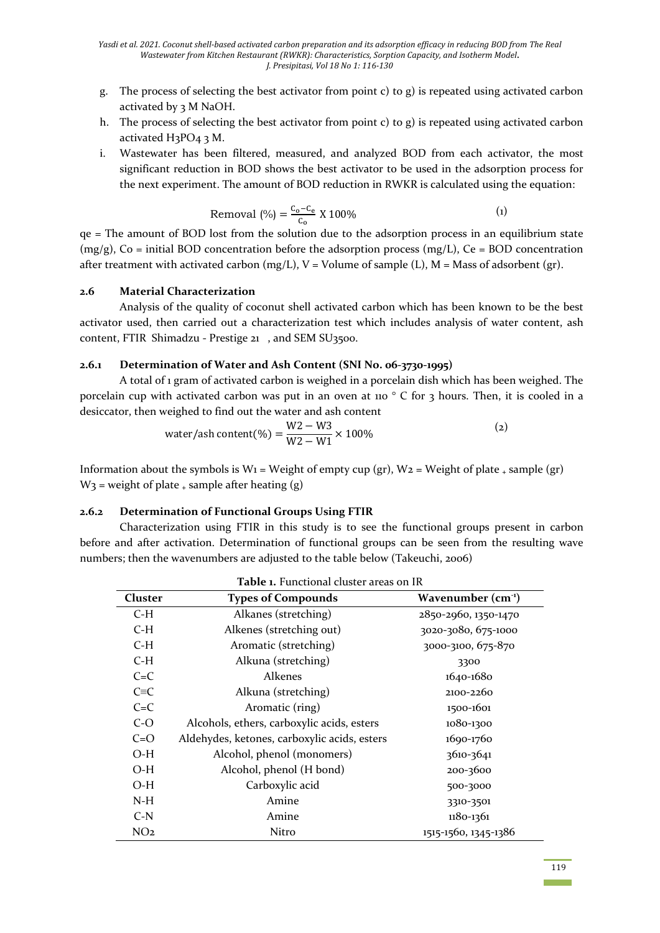- g. The process of selecting the best activator from point c) to g) is repeated using activated carbon activated by 3 M NaOH.
- h. The process of selecting the best activator from point c) to g) is repeated using activated carbon activated H<sub>3</sub>PO<sub>4</sub> 3 M.
- i. Wastewater has been filtered, measured, and analyzed BOD from each activator, the most significant reduction in BOD shows the best activator to be used in the adsorption process for the next experiment. The amount of BOD reduction in RWKR is calculated using the equation:

Removal (%) = 
$$
\frac{C_0 - C_e}{C_0}
$$
 X 100% (1)

qe = The amount of BOD lost from the solution due to the adsorption process in an equilibrium state  $(mg/g)$ , Co = initial BOD concentration before the adsorption process  $(mg/L)$ , Ce = BOD concentration after treatment with activated carbon (mg/L),  $V =$  Volume of sample (L),  $M =$  Mass of adsorbent (gr).

#### **2.6 Material Characterization**

Analysis of the quality of coconut shell activated carbon which has been known to be the best activator used, then carried out a characterization test which includes analysis of water content, ash content, FTIR Shimadzu - Prestige 21 , and SEM SU3500.

#### **2.6.1 Determination of Water and Ash Content (SNI No. 06-3730-1995)**

A total of 1 gram of activated carbon is weighed in a porcelain dish which has been weighed. The porcelain cup with activated carbon was put in an oven at 110 ° C for 3 hours. Then, it is cooled in a desiccator, then weighed to find out the water and ash content

water/ash content (%) = 
$$
\frac{W2 - W3}{W2 - W1} \times 100\%
$$
 (2)

Information about the symbols is  $W_1$  = Weight of empty cup (gr),  $W_2$  = Weight of plate  $\downarrow$  sample (gr)  $W_3$  = weight of plate  $\pm$  sample after heating (g)

#### **2.6.2 Determination of Functional Groups Using FTIR**

Characterization using FTIR in this study is to see the functional groups present in carbon before and after activation. Determination of functional groups can be seen from the resulting wave numbers; then the wavenumbers are adjusted to the table below (Takeuchi, 2006)

| Cluster         | <b>Types of Compounds</b>                    | Wavenumber $(cm-1)$  |
|-----------------|----------------------------------------------|----------------------|
| C-H             | Alkanes (stretching)                         | 2850-2960, 1350-1470 |
| $C-H$           | Alkenes (stretching out)                     | 3020-3080, 675-1000  |
| $C-H$           | Aromatic (stretching)                        | 3000-3100, 675-870   |
| $C-H$           | Alkuna (stretching)                          | 3300                 |
| $C = C$         | <b>Alkenes</b>                               | 1640-1680            |
| $C \equiv C$    | Alkuna (stretching)                          | 2100-2260            |
| $C = C$         | Aromatic (ring)                              | 1500-1601            |
| $C-O$           | Alcohols, ethers, carboxylic acids, esters   | 1080-1300            |
| $C=O$           | Aldehydes, ketones, carboxylic acids, esters | 1690-1760            |
| O-H             | Alcohol, phenol (monomers)                   | 3610-3641            |
| $O-H$           | Alcohol, phenol (H bond)                     | 200-3600             |
| $O-H$           | Carboxylic acid                              | 500-3000             |
| $N-H$           | Amine                                        | 3310-3501            |
| $C-N$           | Amine                                        | 1180-1361            |
| NO <sub>2</sub> | Nitro                                        | 1515-1560, 1345-1386 |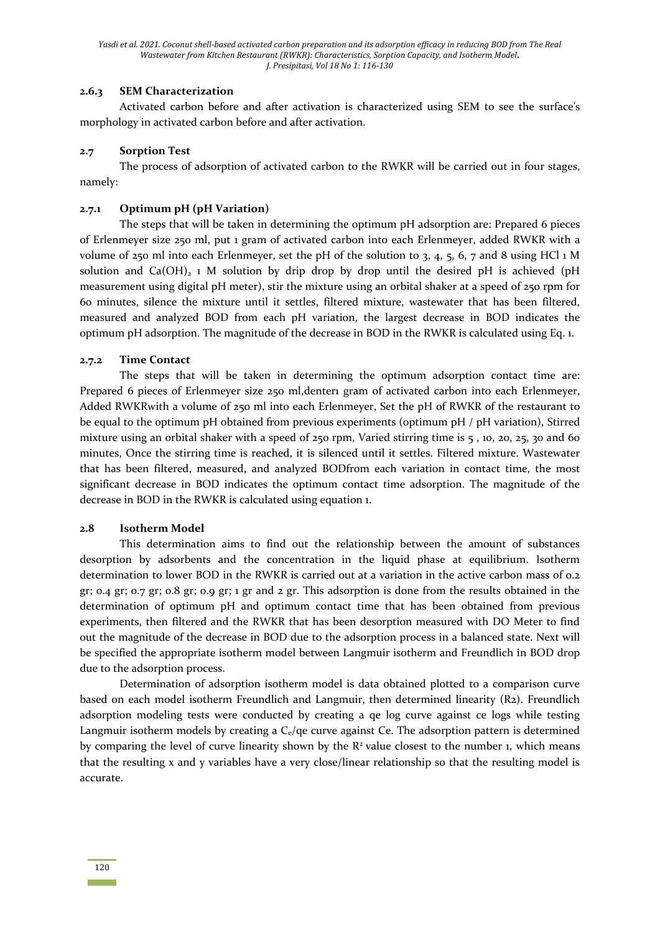#### **2.6.3 SEM Characterization**

Activated carbon before and after activation is characterized using SEM to see the surface's morphology in activated carbon before and after activation.

#### **2.7 Sorption Test**

The process of adsorption of activated carbon to the RWKR will be carried out in four stages, namely:

#### **2.7.1 Optimum pH (pH Variation)**

The steps that will be taken in determining the optimum pH adsorption are: Prepared 6 pieces of Erlenmeyer size 250 ml, put 1 gram of activated carbon into each Erlenmeyer, added RWKR with a volume of 250 ml into each Erlenmeyer, set the pH of the solution to 3, 4, 5, 6, 7 and 8 using HCl 1 M solution and  $Ca(OH)_{2}$  1 M solution by drip drop by drop until the desired pH is achieved (pH measurement using digital pH meter), stir the mixture using an orbital shaker at a speed of 250 rpm for 60 minutes, silence the mixture until it settles, filtered mixture, wastewater that has been filtered, measured and analyzed BOD from each pH variation, the largest decrease in BOD indicates the optimum pH adsorption. The magnitude of the decrease in BOD in the RWKR is calculated using Eq. 1.

#### **2.7.2 Time Contact**

The steps that will be taken in determining the optimum adsorption contact time are: Prepared 6 pieces of Erlenmeyer size 250 ml, dentern gram of activated carbon into each Erlenmeyer, Added RWKRwith a volume of 250 ml into each Erlenmeyer, Set the pH of RWKR of the restaurant to be equal to the optimum pH obtained from previous experiments (optimum pH / pH variation), Stirred mixture using an orbital shaker with a speed of  $250$  rpm, Varied stirring time is  $5$ , 10, 20, 25, 30 and 60 minutes, Once the stirring time is reached, it is silenced until it settles. Filtered mixture. Wastewater that has been filtered, measured, and analyzed BODfrom each variation in contact time, the most significant decrease in BOD indicates the optimum contact time adsorption. The magnitude of the decrease in BOD in the RWKR is calculated using equation 1.

#### **2.8 Isotherm Model**

This determination aims to find out the relationship between the amount of substances desorption by adsorbents and the concentration in the liquid phase at equilibrium. Isotherm determination to lower BOD in the RWKR is carried out at a variation in the active carbon mass of 0.2 gr; 0.4 gr; 0.7 gr; 0.8 gr; 0.9 gr; 1 gr and 2 gr. This adsorption is done from the results obtained in the determination of optimum pH and optimum contact time that has been obtained from previous experiments, then filtered and the RWKR that has been desorption measured with DO Meter to find out the magnitude of the decrease in BOD due to the adsorption process in a balanced state. Next will be specified the appropriate isotherm model between Langmuir isotherm and Freundlich in BOD drop due to the adsorption process.

Determination of adsorption isotherm model is data obtained plotted to a comparison curve based on each model isotherm Freundlich and Langmuir, then determined linearity (R2). Freundlich adsorption modeling tests were conducted by creating a qe log curve against ce logs while testing Langmuir isotherm models by creating a  $C_{e}/q$ e curve against Ce. The adsorption pattern is determined by comparing the level of curve linearity shown by the  $R<sup>2</sup>$  value closest to the number 1, which means that the resulting x and y variables have a very close/linear relationship so that the resulting model is accurate.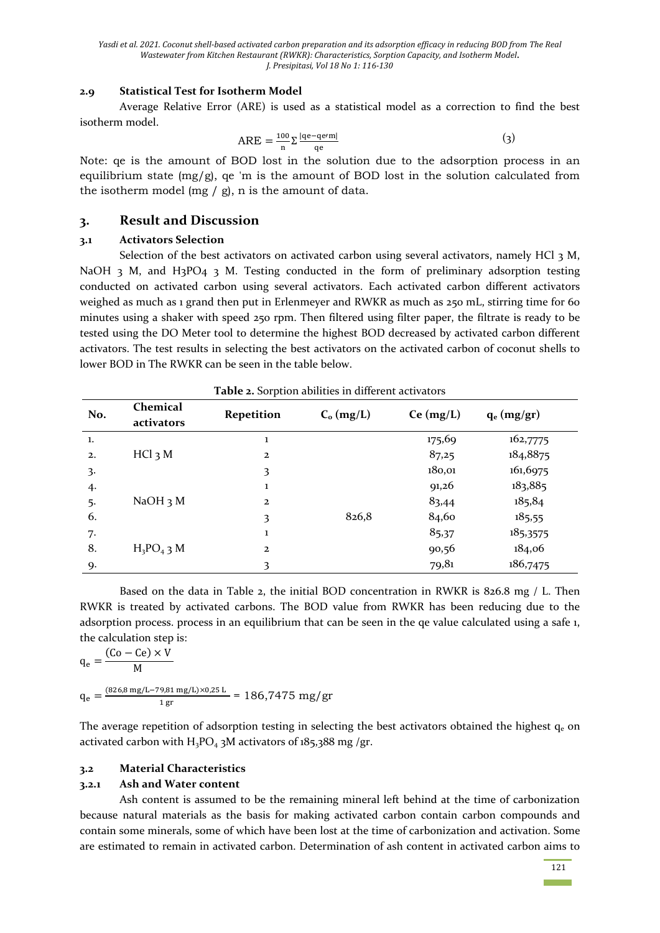#### **2.9 Statistical Test for Isotherm Model**

Average Relative Error (ARE) is used as a statistical model as a correction to find the best isotherm model.

$$
ARE = \frac{100}{n} \sum_{q} \frac{|qe - qe\prime m|}{qe}
$$
 (3)

Note: qe is the amount of BOD lost in the solution due to the adsorption process in an equilibrium state  $(mg/g)$ , qe 'm is the amount of BOD lost in the solution calculated from the isotherm model (mg  $/$  g), n is the amount of data.

#### **3. Result and Discussion**

#### **3.1 Activators Selection**

Selection of the best activators on activated carbon using several activators, namely HCl 3 M, NaOH 3 M, and H3PO4 3 M. Testing conducted in the form of preliminary adsorption testing conducted on activated carbon using several activators. Each activated carbon different activators weighed as much as 1 grand then put in Erlenmeyer and RWKR as much as 250 mL, stirring time for 60 minutes using a shaker with speed 250 rpm. Then filtered using filter paper, the filtrate is ready to be tested using the DO Meter tool to determine the highest BOD decreased by activated carbon different activators. The test results in selecting the best activators on the activated carbon of coconut shells to lower BOD in The RWKR can be seen in the table below.

| No.          | Chemical<br>activators | <b>Repetition</b> | $C_o$ (mg/L) | Ce (mg/L) | $q_e$ (mg/gr) |
|--------------|------------------------|-------------------|--------------|-----------|---------------|
| 1.           |                        | 1                 |              | 175,69    | 162,7775      |
| 2.           | $HCl_3 M$              | $\overline{2}$    |              | 87,25     | 184,8875      |
| $\mathbf{3}$ |                        | 3                 |              | 180,01    | 161,6975      |
| 4.           |                        | 1                 |              | 91,26     | 183,885       |
| 5.           | NaOH <sub>3</sub> M    | $\overline{2}$    |              | 83,44     | 185,84        |
| 6.           |                        | 3                 | 826,8        | 84,60     | 185,55        |
| 7.           |                        | 1                 |              | 85,37     | 185,3575      |
| 8.           | $H_3PO_4$ 3 M          | $\mathbf{2}$      |              | 90,56     | 184,06        |
| 9.           |                        | 3                 |              | 79,81     | 186,7475      |

|  | <b>Table 2.</b> Sorption abilities in different activators |  |
|--|------------------------------------------------------------|--|
|  |                                                            |  |

Based on the data in Table 2, the initial BOD concentration in RWKR is 826.8 mg / L. Then RWKR is treated by activated carbons. The BOD value from RWKR has been reducing due to the adsorption process. process in an equilibrium that can be seen in the qe value calculated using a safe 1, the calculation step is:

$$
q_e = \frac{(Co - Ce) \times V}{M}
$$
  
\n
$$
q_e = \frac{(826.8 \text{ mg/L} - 79.81 \text{ mg/L}) \times 0.25 \text{ L}}{1 \text{ gr}} = 186,7475 \text{ mg/gr}
$$

The average repetition of adsorption testing in selecting the best activators obtained the highest  $q_e$  on activated carbon with  $H_3PO_4$  3M activators of 185,388 mg /gr.

#### **3.2 Material Characteristics**

#### **3.2.1 Ash and Water content**

Ash content is assumed to be the remaining mineral left behind at the time of carbonization because natural materials as the basis for making activated carbon contain carbon compounds and contain some minerals, some of which have been lost at the time of carbonization and activation. Some are estimated to remain in activated carbon. Determination of ash content in activated carbon aims to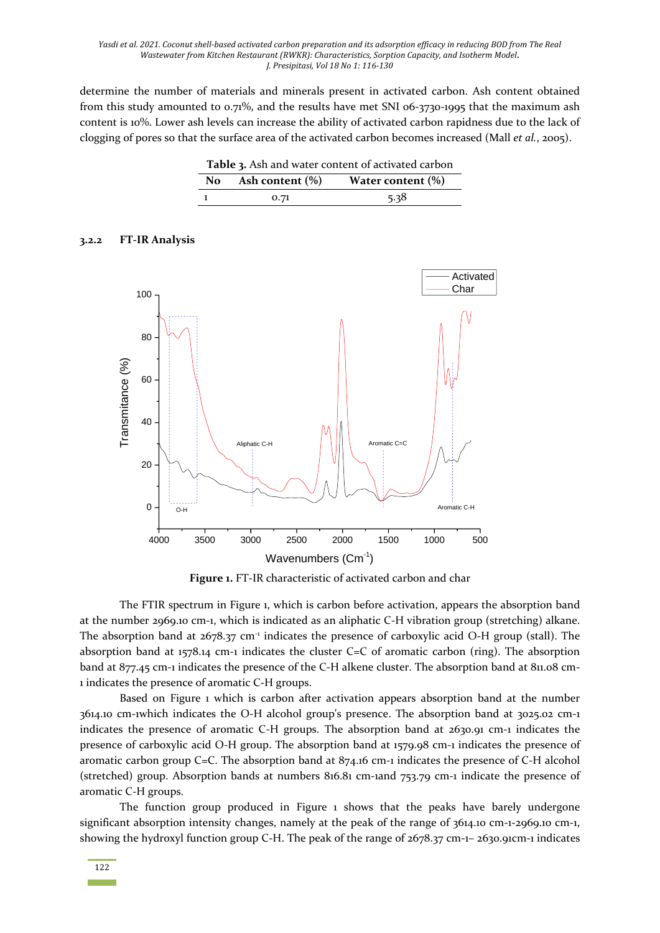determine the number of materials and minerals present in activated carbon. Ash content obtained from this study amounted to  $0.71\%$ , and the results have met SNI 06-3730-1995 that the maximum ash content is 10%. Lower ash levels can increase the ability of activated carbon rapidness due to the lack of clogging of pores so that the surface area of the activated carbon becomes increased (Mall *et al.*, 2005).

**Table 3.** Ash and water content of activated carbon

| No | Ash content $(\% )$ | Water content $(\%)$ |
|----|---------------------|----------------------|
|    | 0.71                | 5.38                 |

#### **3.2.2 FT-IR Analysis**



**Figure 1.** FT-IR characteristic of activated carbon and char

The FTIR spectrum in Figure 1, which is carbon before activation, appears the absorption band at the number 2969.10 cm-1, which is indicated as an aliphatic C-H vibration group (stretching) alkane. The absorption band at 2678.37 cm<sup>-1</sup> indicates the presence of carboxylic acid O-H group (stall). The absorption band at 1578.14 cm-1 indicates the cluster C=C of aromatic carbon (ring). The absorption band at 877.45 cm-1 indicates the presence of the C-H alkene cluster. The absorption band at 811.08 cm-1 indicates the presence of aromatic C-H groups.

Based on Figure 1 which is carbon after activation appears absorption band at the number 3614.10 cm-1which indicates the O-H alcohol group's presence. The absorption band at 3025.02 cm-1 indicates the presence of aromatic C-H groups. The absorption band at 2630.91 cm-1 indicates the presence of carboxylic acid O-H group. The absorption band at 1579.98 cm-1 indicates the presence of aromatic carbon group C=C. The absorption band at 874.16 cm-1 indicates the presence of C-H alcohol (stretched) group. Absorption bands at numbers 816.81 cm-1and 753.79 cm-1 indicate the presence of aromatic C-H groups.

The function group produced in Figure 1 shows that the peaks have barely undergone significant absorption intensity changes, namely at the peak of the range of 3614.10 cm-1-2969.10 cm-1, showing the hydroxyl function group C-H. The peak of the range of 2678.37 cm-1– 2630.91cm-1 indicates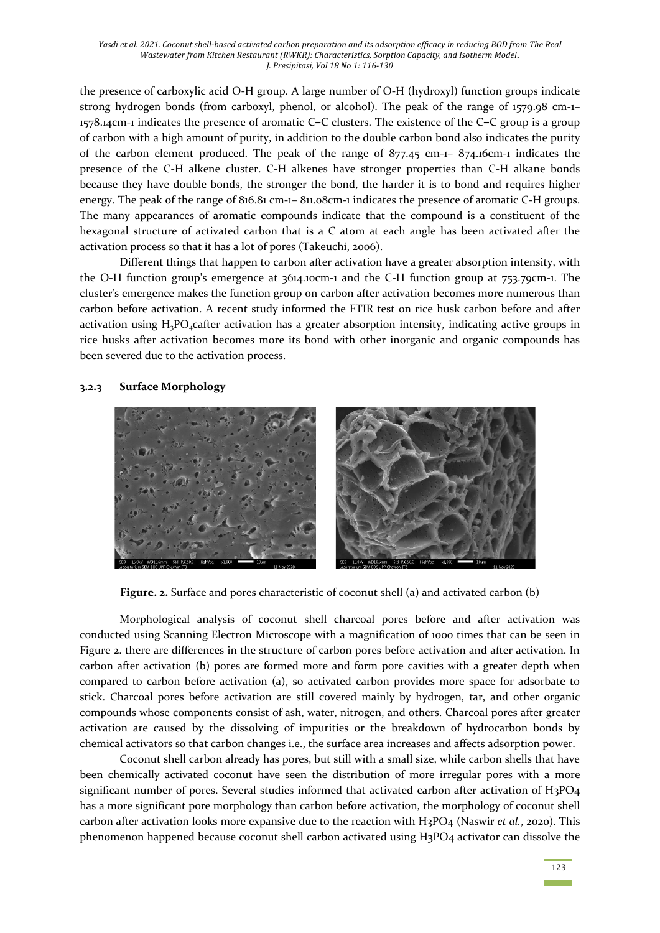the presence of carboxylic acid O-H group. A large number of O-H (hydroxyl) function groups indicate strong hydrogen bonds (from carboxyl, phenol, or alcohol). The peak of the range of 1579.98 cm-1–  $1578.14$ cm-1 indicates the presence of aromatic C=C clusters. The existence of the C=C group is a group of carbon with a high amount of purity, in addition to the double carbon bond also indicates the purity of the carbon element produced. The peak of the range of 877.45 cm-1– 874.16cm-1 indicates the presence of the C-H alkene cluster. C-H alkenes have stronger properties than C-H alkane bonds because they have double bonds, the stronger the bond, the harder it is to bond and requires higher energy. The peak of the range of 816.81 cm-1– 811.08cm-1 indicates the presence of aromatic C-H groups. The many appearances of aromatic compounds indicate that the compound is a constituent of the hexagonal structure of activated carbon that is a C atom at each angle has been activated after the activation process so that it has a lot of pores (Takeuchi, 2006).

Different things that happen to carbon after activation have a greater absorption intensity, with the O-H function group's emergence at 3614.10cm-1 and the C-H function group at 753.79cm-1. The cluster's emergence makes the function group on carbon after activation becomes more numerous than carbon before activation. A recent study informed the FTIR test on rice husk carbon before and after activation using  $H_3PO_4$ cafter activation has a greater absorption intensity, indicating active groups in rice husks after activation becomes more its bond with other inorganic and organic compounds has been severed due to the activation process.

#### **3.2.3 Surface Morphology**



**Figure. 2.** Surface and pores characteristic of coconut shell (a) and activated carbon (b)

Morphological analysis of coconut shell charcoal pores before and after activation was conducted using Scanning Electron Microscope with a magnification of 1000 times that can be seen in Figure 2. there are differences in the structure of carbon pores before activation and after activation. In carbon after activation (b) pores are formed more and form pore cavities with a greater depth when compared to carbon before activation (a), so activated carbon provides more space for adsorbate to stick. Charcoal pores before activation are still covered mainly by hydrogen, tar, and other organic compounds whose components consist of ash, water, nitrogen, and others. Charcoal pores after greater activation are caused by the dissolving of impurities or the breakdown of hydrocarbon bonds by chemical activators so that carbon changes i.e., the surface area increases and affects adsorption power.

Coconut shell carbon already has pores, but still with a small size, while carbon shells that have been chemically activated coconut have seen the distribution of more irregular pores with a more significant number of pores. Several studies informed that activated carbon after activation of H3PO4 has a more significant pore morphology than carbon before activation, the morphology of coconut shell carbon after activation looks more expansive due to the reaction with H3PO4 (Naswir *et al.*, 2020). This phenomenon happened because coconut shell carbon activated using H3PO4 activator can dissolve the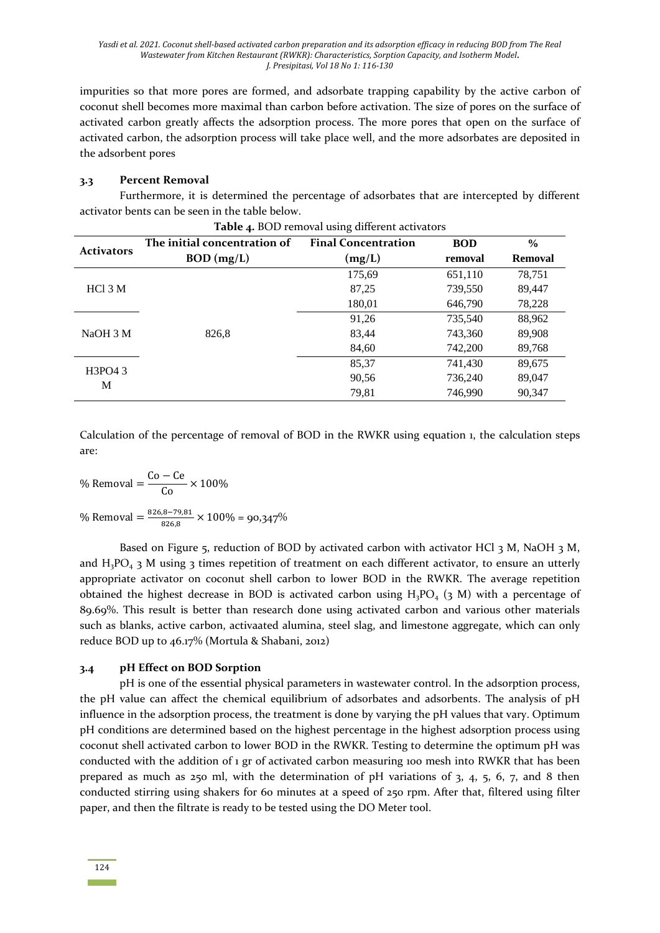impurities so that more pores are formed, and adsorbate trapping capability by the active carbon of coconut shell becomes more maximal than carbon before activation. The size of pores on the surface of activated carbon greatly affects the adsorption process. The more pores that open on the surface of activated carbon, the adsorption process will take place well, and the more adsorbates are deposited in the adsorbent pores

#### **3.3 Percent Removal**

Furthermore, it is determined the percentage of adsorbates that are intercepted by different activator bents can be seen in the table below.

| <b>Activators</b> | The initial concentration of | <b>Final Concentration</b> | <b>BOD</b> | $\frac{0}{0}$  |
|-------------------|------------------------------|----------------------------|------------|----------------|
|                   | $BOD$ (mg/L)                 | (mg/L)                     | removal    | <b>Removal</b> |
|                   |                              | 175,69                     | 651,110    | 78,751         |
| HC13M             |                              | 87,25                      | 739,550    | 89,447         |
|                   |                              | 180,01                     | 646,790    | 78,228         |
|                   | 826,8                        | 91,26                      | 735,540    | 88,962         |
| NaOH 3 M          |                              | 83,44                      | 743,360    | 89,908         |
|                   |                              | 84,60                      | 742,200    | 89,768         |
| H3PO4 3<br>M      |                              | 85,37                      | 741,430    | 89,675         |
|                   |                              | 90,56                      | 736,240    | 89,047         |
|                   |                              | 79,81                      | 746,990    | 90,347         |

|  | Table 4. BOD removal using different activators |  |
|--|-------------------------------------------------|--|
|--|-------------------------------------------------|--|

Calculation of the percentage of removal of BOD in the RWKR using equation 1, the calculation steps are:

% Removal  $=\frac{Co - Ce}{C}$  $\frac{1}{\text{Co}} \times 100\%$ % Removal =  $\frac{826,8-79,81}{0.368}$  $\frac{1}{826,8}$   $\times$  100% = 90,347%

Based on Figure 5, reduction of BOD by activated carbon with activator HCl 3 M, NaOH 3 M, and  $H_3PO_4$  3 M using 3 times repetition of treatment on each different activator, to ensure an utterly appropriate activator on coconut shell carbon to lower BOD in the RWKR. The average repetition obtained the highest decrease in BOD is activated carbon using  $H_3PO_4$  (3 M) with a percentage of 89.69%. This result is better than research done using activated carbon and various other materials such as blanks, active carbon, activaated alumina, steel slag, and limestone aggregate, which can only reduce BOD up to 46.17% (Mortula & Shabani, 2012)

#### **3.4 pH Effect on BOD Sorption**

pH is one of the essential physical parameters in wastewater control. In the adsorption process, the pH value can affect the chemical equilibrium of adsorbates and adsorbents. The analysis of pH influence in the adsorption process, the treatment is done by varying the pH values that vary. Optimum pH conditions are determined based on the highest percentage in the highest adsorption process using coconut shell activated carbon to lower BOD in the RWKR. Testing to determine the optimum pH was conducted with the addition of 1 gr of activated carbon measuring 100 mesh into RWKR that has been prepared as much as  $250$  ml, with the determination of pH variations of  $3, 4, 5, 6, 7$ , and 8 then conducted stirring using shakers for 60 minutes at a speed of 250 rpm. After that, filtered using filter paper, and then the filtrate is ready to be tested using the DO Meter tool.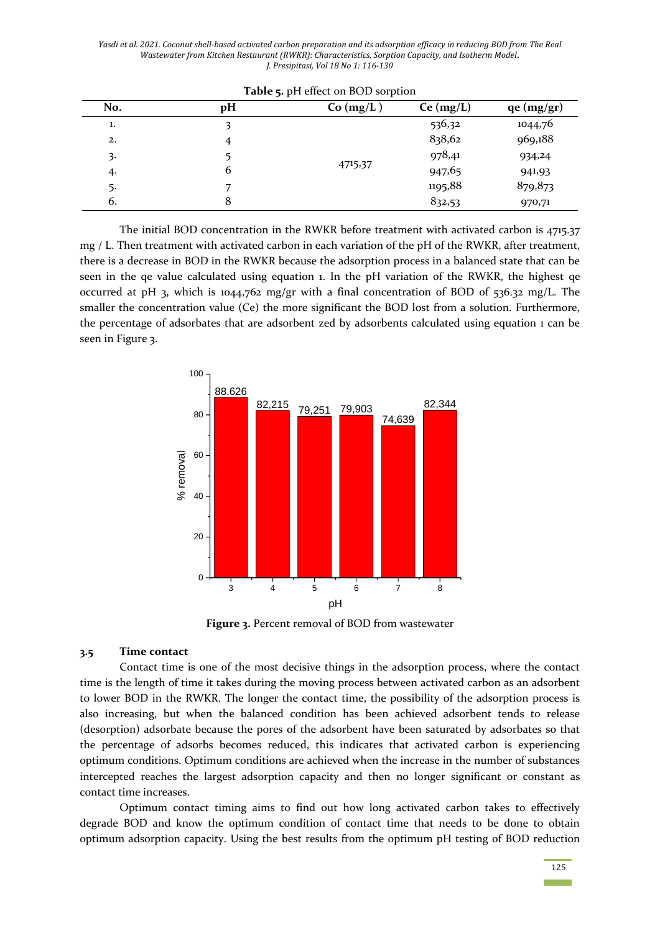| No. | pH | Co (mg/L) | Ce (mg/L) | qe (mg/gr) |
|-----|----|-----------|-----------|------------|
| 1.  | 3  |           | 536,32    | 1044,76    |
| 2.  | 4  |           | 838,62    | 969,188    |
| 3.  |    |           | 978,41    | 934,24     |
| 4.  | 6  | 4715,37   | 947,65    | 941,93     |
| -5. | 7  |           | 1195,88   | 879,873    |
| 6.  | 8  |           | 832,53    | 970,71     |

**Table 5.** pH effect on BOD sorption

The initial BOD concentration in the RWKR before treatment with activated carbon is 4715.37 mg / L. Then treatment with activated carbon in each variation of the pH of the RWKR, after treatment, there is a decrease in BOD in the RWKR because the adsorption process in a balanced state that can be seen in the qe value calculated using equation 1. In the pH variation of the RWKR, the highest qe occurred at pH 3, which is 1044,762 mg/gr with a final concentration of BOD of 536.32 mg/L. The smaller the concentration value (Ce) the more significant the BOD lost from a solution. Furthermore, the percentage of adsorbates that are adsorbent zed by adsorbents calculated using equation 1 can be seen in Figure 3.



**Figure 3.** Percent removal of BOD from wastewater

#### **3.5 Time contact**

Contact time is one of the most decisive things in the adsorption process, where the contact time is the length of time it takes during the moving process between activated carbon as an adsorbent to lower BOD in the RWKR. The longer the contact time, the possibility of the adsorption process is also increasing, but when the balanced condition has been achieved adsorbent tends to release (desorption) adsorbate because the pores of the adsorbent have been saturated by adsorbates so that the percentage of adsorbs becomes reduced, this indicates that activated carbon is experiencing optimum conditions. Optimum conditions are achieved when the increase in the number of substances intercepted reaches the largest adsorption capacity and then no longer significant or constant as contact time increases.

Optimum contact timing aims to find out how long activated carbon takes to effectively degrade BOD and know the optimum condition of contact time that needs to be done to obtain optimum adsorption capacity. Using the best results from the optimum pH testing of BOD reduction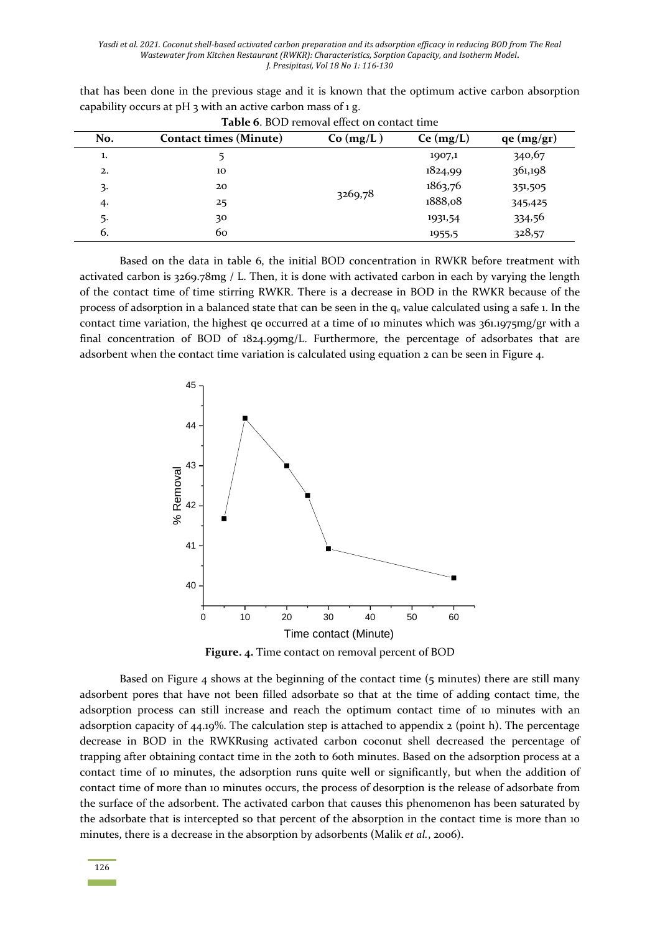| <b>Table 6. BOD removal effect on contact time</b> |                               |           |           |            |  |  |  |
|----------------------------------------------------|-------------------------------|-----------|-----------|------------|--|--|--|
| No.                                                | <b>Contact times (Minute)</b> | Co (mg/L) | Ce (mg/L) | qe (mg/gr) |  |  |  |
| 1.                                                 |                               |           | 1907,1    | 340,67     |  |  |  |
| 2.                                                 | 10                            | 3269,78   | 1824,99   | 361,198    |  |  |  |
| 3.                                                 | 20                            |           | 1863,76   | 351,505    |  |  |  |
| 4.                                                 | 25                            |           | 1888,08   | 345,425    |  |  |  |
| 5.                                                 | 30                            |           | 1931,54   | 334,56     |  |  |  |
| 6.                                                 | 60                            |           | 1955,5    | 328,57     |  |  |  |

that has been done in the previous stage and it is known that the optimum active carbon absorption capability occurs at pH  $_3$  with an active carbon mass of 1 g.

Based on the data in table 6, the initial BOD concentration in RWKR before treatment with activated carbon is 3269.78mg / L. Then, it is done with activated carbon in each by varying the length of the contact time of time stirring RWKR. There is a decrease in BOD in the RWKR because of the process of adsorption in a balanced state that can be seen in the qe value calculated using a safe 1. In the contact time variation, the highest qe occurred at a time of 10 minutes which was 361.1975mg/gr with a final concentration of BOD of 1824.99mg/L. Furthermore, the percentage of adsorbates that are adsorbent when the contact time variation is calculated using equation 2 can be seen in Figure 4.



**Figure. 4.** Time contact on removal percent of BOD

Based on Figure 4 shows at the beginning of the contact time (5 minutes) there are still many adsorbent pores that have not been filled adsorbate so that at the time of adding contact time, the adsorption process can still increase and reach the optimum contact time of 10 minutes with an adsorption capacity of 44.19%. The calculation step is attached to appendix 2 (point h). The percentage decrease in BOD in the RWKRusing activated carbon coconut shell decreased the percentage of trapping after obtaining contact time in the 20th to 60th minutes. Based on the adsorption process at a contact time of 10 minutes, the adsorption runs quite well or significantly, but when the addition of contact time of more than 10 minutes occurs, the process of desorption is the release of adsorbate from the surface of the adsorbent. The activated carbon that causes this phenomenon has been saturated by the adsorbate that is intercepted so that percent of the absorption in the contact time is more than 10 minutes, there is a decrease in the absorption by adsorbents (Malik *et al.*, 2006).

126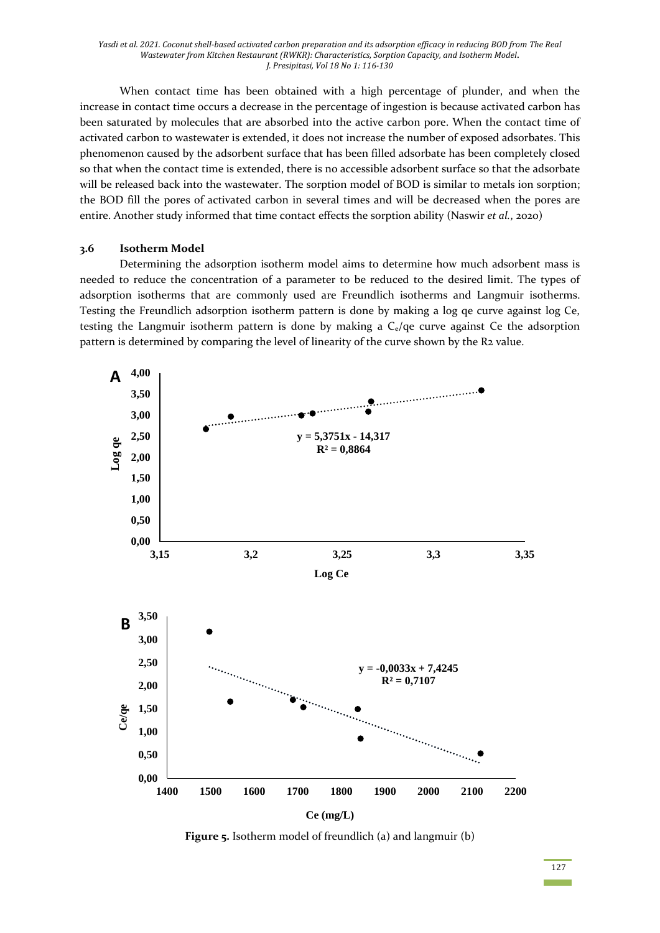When contact time has been obtained with a high percentage of plunder, and when the increase in contact time occurs a decrease in the percentage of ingestion is because activated carbon has been saturated by molecules that are absorbed into the active carbon pore. When the contact time of activated carbon to wastewater is extended, it does not increase the number of exposed adsorbates. This phenomenon caused by the adsorbent surface that has been filled adsorbate has been completely closed so that when the contact time is extended, there is no accessible adsorbent surface so that the adsorbate will be released back into the wastewater. The sorption model of BOD is similar to metals ion sorption; the BOD fill the pores of activated carbon in several times and will be decreased when the pores are entire. Another study informed that time contact effects the sorption ability (Naswir *et al.*, 2020)

#### **3.6 Isotherm Model**

Determining the adsorption isotherm model aims to determine how much adsorbent mass is needed to reduce the concentration of a parameter to be reduced to the desired limit. The types of adsorption isotherms that are commonly used are Freundlich isotherms and Langmuir isotherms. Testing the Freundlich adsorption isotherm pattern is done by making a log qe curve against log Ce, testing the Langmuir isotherm pattern is done by making a  $C_e/qe$  curve against Ce the adsorption pattern is determined by comparing the level of linearity of the curve shown by the R2 value.



**Figure 5.** Isotherm model of freundlich (a) and langmuir (b)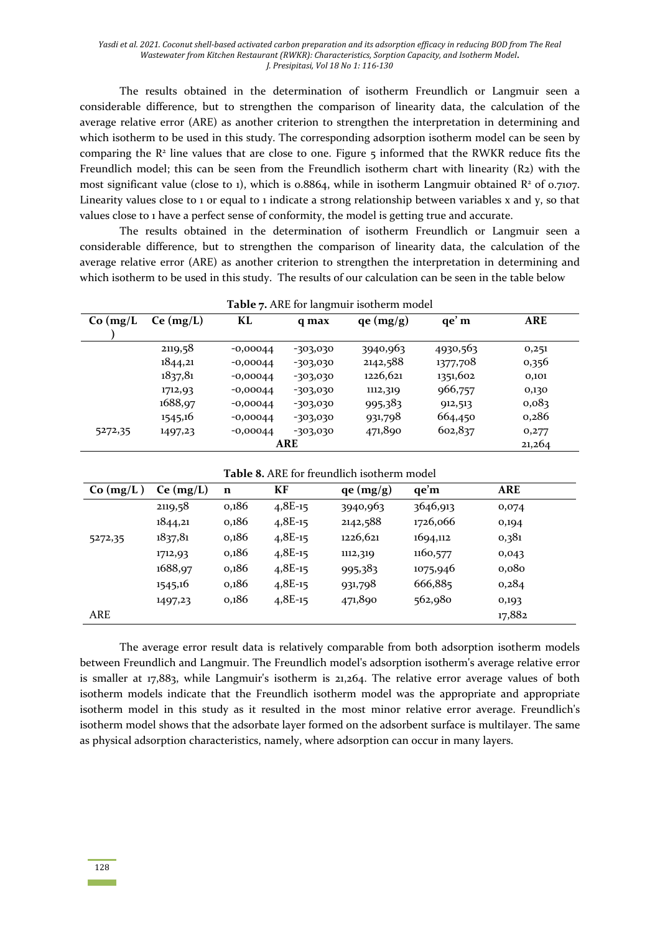The results obtained in the determination of isotherm Freundlich or Langmuir seen a considerable difference, but to strengthen the comparison of linearity data, the calculation of the average relative error (ARE) as another criterion to strengthen the interpretation in determining and which isotherm to be used in this study. The corresponding adsorption isotherm model can be seen by comparing the  $R<sup>2</sup>$  line values that are close to one. Figure  $5$  informed that the RWKR reduce fits the Freundlich model; this can be seen from the Freundlich isotherm chart with linearity (R2) with the most significant value (close to 1), which is  $0.8864$ , while in isotherm Langmuir obtained  $R^2$  of 0.7107. Linearity values close to 1 or equal to 1 indicate a strong relationship between variables x and y, so that values close to 1 have a perfect sense of conformity, the model is getting true and accurate.

The results obtained in the determination of isotherm Freundlich or Langmuir seen a considerable difference, but to strengthen the comparison of linearity data, the calculation of the average relative error (ARE) as another criterion to strengthen the interpretation in determining and which isotherm to be used in this study. The results of our calculation can be seen in the table below

| <b>Table</b> 7. ANE for fairging isotherm model |           |            |            |           |          |            |
|-------------------------------------------------|-----------|------------|------------|-----------|----------|------------|
| Co (mg/L)                                       | Ce (mg/L) | KL         | q max      | qe (mg/g) | qe' m    | <b>ARE</b> |
|                                                 |           |            |            |           |          |            |
|                                                 | 2119,58   | $-0,00044$ | -303,030   | 3940,963  | 4930,563 | 0,251      |
|                                                 | 1844,21   | $-0,00044$ | $-303,030$ | 2142,588  | 1377,708 | 0,356      |
|                                                 | 1837,81   | $-0,00044$ | $-303,030$ | 1226,621  | 1351,602 | 0,101      |
|                                                 | 1712,93   | $-0,00044$ | $-303,030$ | 1112,319  | 966,757  | 0,130      |
|                                                 | 1688,97   | $-0,00044$ | $-303,030$ | 995,383   | 912,513  | 0,083      |
|                                                 | 1545,16   | $-0,00044$ | $-303,030$ | 931,798   | 664,450  | 0,286      |
| 5272,35                                         | 1497,23   | $-0,00044$ | $-303,030$ | 471,890   | 602,837  | 0,277      |
| <b>ARE</b>                                      |           |            |            |           |          | 21,264     |

**Table 7.** ARE for langmuir isotherm model

| Co (mg/L) | Ce (mg/L) | $\mathbf n$ | КF        | qe (mg/g) | qe'm     | <b>ARE</b> |
|-----------|-----------|-------------|-----------|-----------|----------|------------|
|           | 2119,58   | 0,186       | $4,8E-15$ | 3940,963  | 3646,913 | 0,074      |
|           | 1844,21   | 0,186       | $4,8E-15$ | 2142,588  | 1726,066 | 0,194      |
| 5272,35   | 1837,81   | 0,186       | $4,8E-15$ | 1226,621  | 1694,112 | 0,381      |
|           | 1712,93   | 0,186       | $4,8E-15$ | 1112,319  | 1160,577 | 0,043      |
|           | 1688,97   | 0,186       | $4,8E-15$ | 995,383   | 1075,946 | 0,080      |
|           | 1545,16   | 0,186       | $4,8E-15$ | 931,798   | 666,885  | 0,284      |
|           | 1497,23   | 0,186       | $4,8E-15$ | 471,890   | 562,980  | 0,193      |
| ARE       |           |             |           |           |          | 17,882     |

The average error result data is relatively comparable from both adsorption isotherm models between Freundlich and Langmuir. The Freundlich model's adsorption isotherm's average relative error is smaller at 17,883, while Langmuir's isotherm is 21,264. The relative error average values of both isotherm models indicate that the Freundlich isotherm model was the appropriate and appropriate isotherm model in this study as it resulted in the most minor relative error average. Freundlich's isotherm model shows that the adsorbate layer formed on the adsorbent surface is multilayer. The same as physical adsorption characteristics, namely, where adsorption can occur in many layers.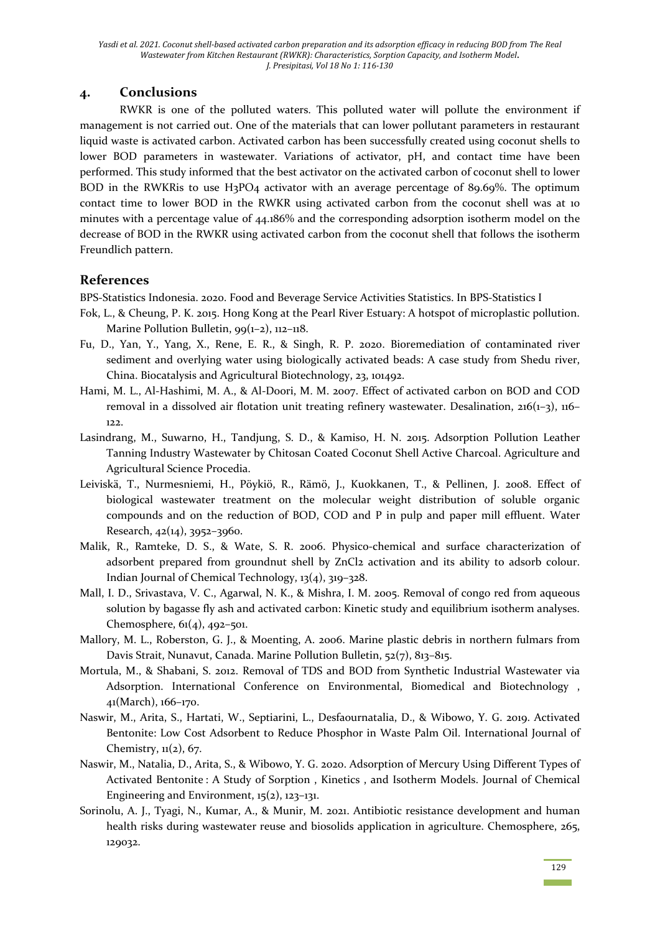# **4. Conclusions**

RWKR is one of the polluted waters. This polluted water will pollute the environment if management is not carried out. One of the materials that can lower pollutant parameters in restaurant liquid waste is activated carbon. Activated carbon has been successfully created using coconut shells to lower BOD parameters in wastewater. Variations of activator, pH, and contact time have been performed. This study informed that the best activator on the activated carbon of coconut shell to lower BOD in the RWKRis to use H3PO4 activator with an average percentage of 89.69%. The optimum contact time to lower BOD in the RWKR using activated carbon from the coconut shell was at 10 minutes with a percentage value of 44.186% and the corresponding adsorption isotherm model on the decrease of BOD in the RWKR using activated carbon from the coconut shell that follows the isotherm Freundlich pattern.

# **References**

BPS-Statistics Indonesia. 2020. Food and Beverage Service Activities Statistics. In BPS-Statistics I

- Fok, L., & Cheung, P. K. 2015. Hong Kong at the Pearl River Estuary: A hotspot of microplastic pollution. Marine Pollution Bulletin, 99(1-2), 112-118.
- Fu, D., Yan, Y., Yang, X., Rene, E. R., & Singh, R. P. 2020. Bioremediation of contaminated river sediment and overlying water using biologically activated beads: A case study from Shedu river, China. Biocatalysis and Agricultural Biotechnology, 23, 101492.
- Hami, M. L., Al-Hashimi, M. A., & Al-Doori, M. M. 2007. Effect of activated carbon on BOD and COD removal in a dissolved air flotation unit treating refinery wastewater. Desalination,  $216(1-3)$ ,  $116-$ 122.
- Lasindrang, M., Suwarno, H., Tandjung, S. D., & Kamiso, H. N. 2015. Adsorption Pollution Leather Tanning Industry Wastewater by Chitosan Coated Coconut Shell Active Charcoal. Agriculture and Agricultural Science Procedia.
- Leiviskä, T., Nurmesniemi, H., Pöykiö, R., Rämö, J., Kuokkanen, T., & Pellinen, J. 2008. Effect of biological wastewater treatment on the molecular weight distribution of soluble organic compounds and on the reduction of BOD, COD and P in pulp and paper mill effluent. Water Research, 42(14), 3952–3960.
- Malik, R., Ramteke, D. S., & Wate, S. R. 2006. Physico-chemical and surface characterization of adsorbent prepared from groundnut shell by ZnCl2 activation and its ability to adsorb colour. Indian Journal of Chemical Technology, 13(4), 319–328.
- Mall, I. D., Srivastava, V. C., Agarwal, N. K., & Mishra, I. M. 2005. Removal of congo red from aqueous solution by bagasse fly ash and activated carbon: Kinetic study and equilibrium isotherm analyses. Chemosphere, 61(4), 492–501.
- Mallory, M. L., Roberston, G. J., & Moenting, A. 2006. Marine plastic debris in northern fulmars from Davis Strait, Nunavut, Canada. Marine Pollution Bulletin, 52(7), 813–815.
- Mortula, M., & Shabani, S. 2012. Removal of TDS and BOD from Synthetic Industrial Wastewater via Adsorption. International Conference on Environmental, Biomedical and Biotechnology , 41(March), 166–170.
- Naswir, M., Arita, S., Hartati, W., Septiarini, L., Desfaournatalia, D., & Wibowo, Y. G. 2019. Activated Bentonite: Low Cost Adsorbent to Reduce Phosphor in Waste Palm Oil. International Journal of Chemistry,  $\mathfrak{u}(2)$ , 67.
- Naswir, M., Natalia, D., Arita, S., & Wibowo, Y. G. 2020. Adsorption of Mercury Using Different Types of Activated Bentonite : A Study of Sorption , Kinetics , and Isotherm Models. Journal of Chemical Engineering and Environment,  $15(2)$ ,  $123-131$ .
- Sorinolu, A. J., Tyagi, N., Kumar, A., & Munir, M. 2021. Antibiotic resistance development and human health risks during wastewater reuse and biosolids application in agriculture. Chemosphere, 265, 129032.